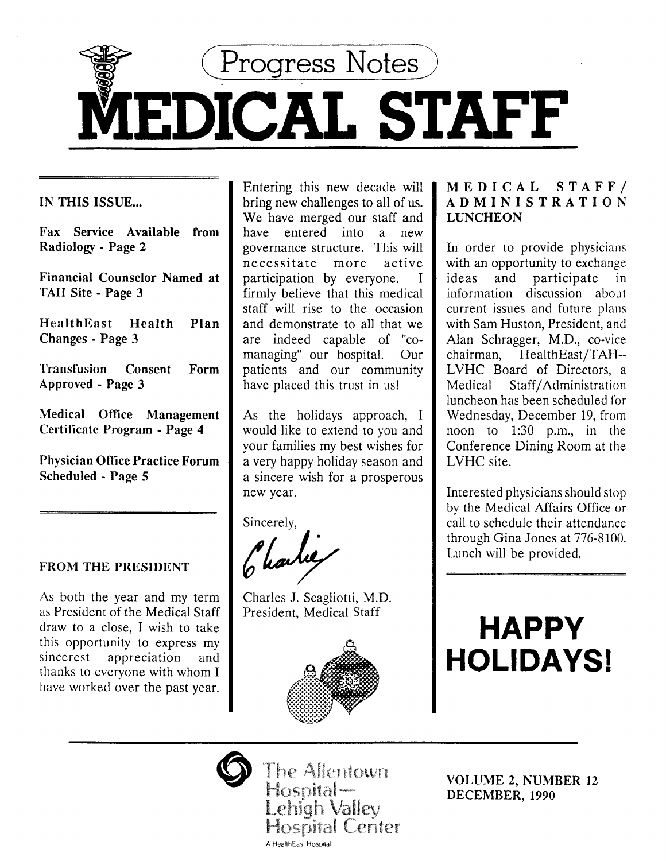

IN THIS ISSUE...

Fax Service Available from Radiology - Page 2

Financial Counselor Named at TAH Site - Page 3

HealthEast Health Plan Changes - Page 3

Transfusion Consent Form Approved - Page 3

Medical Office Management Certificate Program - Page 4

Physician Office Practice Forum Scheduled - Page 5

# FROM THE PRESIDENT

As both the year and my term as President of the Medical Staff draw to a close, I wish to take this opportunity to express my sincerest appreciation and thanks to everyone with whom I have worked over the past year.

Entering this new decade will bring new challenges to all of us. We have merged our staff and have entered into a new governance structure. This will necessitate more active participation by everyone. I firmly believe that this medical staff will rise to the occasion and demonstrate to all that we are indeed capable of "comanaging" our hospital. Our patients and our community have placed this trust in us!

As the holidays approach, I would like to extend to you and your families my best wishes for a very happy holiday season and a sincere wish for a prosperous new year.

Sincerely,

Charles

Charles J. Scagliotti, M.D. President, Medical Staff



# MEDICAL STAFF/ ADMINISTRATION **LUNCHEON**

In order to provide physicians with an opportunity to exchange ideas and participate in information discussion about current issues and future plans with Sam Huston, President, and Alan Schragger, M.D., co-vice chairman, HealthEast/TAH-- LVHC Board of Directors, a Medical Staff/Administration luncheon has been scheduled for Wednesday, December 19, from noon to 1:30 p.m., in the Conference Dining Room at the LVHC site.

Interested physicians should stop by the Medical Affairs Office or call to schedule their attendance through Gina Jones at 776-8100. Lunch will be provided.

# **HAPPY HOLIDAYS!**



The Allentown Hospital-Lehigh Valley **Hospital Center** A HealthEast Hospital

VOLUME 2, NUMBER 12 DECEMBER, 1990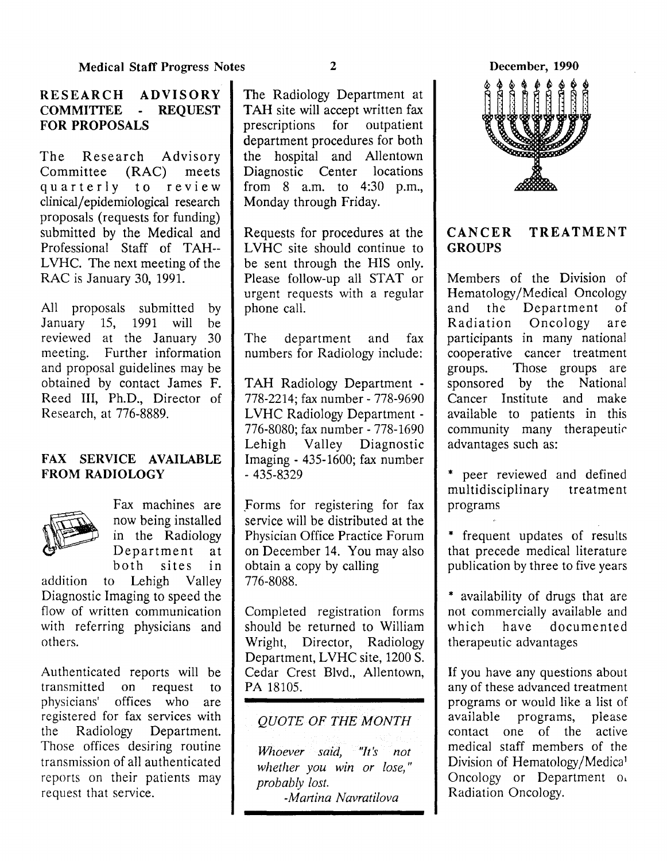# RESEARCH ADVISORY COMMITTEE - REQUEST FOR PROPOSALS

The Research Advisory<br>Committee (RAC) meets Committee (RAC) quarterly to review clinical/ epidemiological research proposals (requests for funding) submitted by the Medical and Professional Staff of TAH-- LVHC. The next meeting of the RAC is January 30, 1991.

All proposals submitted by<br>January 15, 1991 will be January 15, 1991 will be reviewed at the January 30 meeting. Further information and proposal guidelines may be obtained by contact James F. Reed III, Ph.D., Director of Research, at 776-8889.

# FAX SERVICE AVAILABLE FROM RADIOLOGY



Fax machines are . now being installed in the Radiology Department at<br>both sites in sites in

addition to Lehigh Valley Diagnostic Imaging to speed the flow of written communication with referring physicians and others.

Authenticated reports will be transmitted on request to physicians' offices who are registered for fax services with the Radiology Department. Those offices desiring routine transmission of all authenticated reports on their patients may request that service.

The Radiology Department at TAH site will accept written fax prescriptions for outpatient department procedures for both the hospital and Allentown Diagnostic Center locations from 8 a.m. to 4:30 p.m., Monday through Friday.

Requests for procedures at the LVHC site should continue to be sent through the HIS only. Please follow-up all STAT or urgent requests with a regular phone call.

The department and fax numbers for Radiology include:

TAH Radiology Department -778-2214; fax number- 778-9690 LVHC Radiology Department - 776-8080; fax number- 778-1690 Lehigh Valley Diagnostic Imaging - 435-1600; fax number  $-435 - 8329$ 

\_Forms for registering for fax service will be distributed at the Physician Office Practice Forum on December 14. You may also obtain a copy by calling 776-8088.

Completed registration forms should be returned to William Wright, Director, Radiology Department, LVHC site, 1200 S. Cedar Crest Blvd., Allentown, PA 18105.

# *QUOTE OF THE MONTH*

*Whoever said, "It's not whether you win or lose,* " *probably lost. -Martina Navratilova* 

December, 1990



# CANCER TREATMENT **GROUPS**

Members of the Division of Hematology/Medical Oncology<br>and the Department of the Department of Radiation Oncology are participants in many national cooperative cancer treatment groups. Those groups are sponsored by the National Cancer Institute and make available to patients in this community many therapeutic advantages such as:

\* peer reviewed and defined multidisciplinary treatment programs

\* frequent updates of results that precede medical literature publication by three to five years

\* availability of drugs that are not commercially available and which have documented therapeutic advantages

If you have any questions about any of these advanced treatment programs or would like a list of available programs, please contact one of the active medical staff members of the Division of Hematology/Medica<sup>1</sup> Oncology or Department  $0<sub>1</sub>$ Radiation Oncology.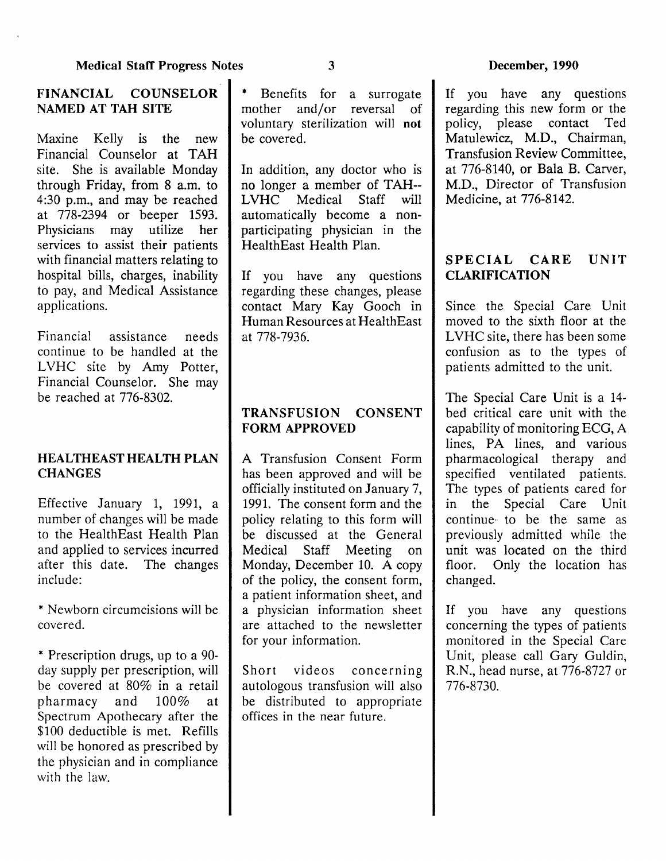# FINANCIAL COUNSELOR NAMED AT TAH SITE

Maxine Kelly is the new Financial Counselor at TAH site. She is available Monday through Friday, from 8 a.m. to 4:30 p.m., and may be reached at 778-2394 or beeper 1593. Physicians may utilize her services to assist their patients with financial matters relating to hospital bills, charges, inability to pay, and Medical Assistance applications.

Financial assistance needs continue to be handled at the LVHC site by Amy Potter, Financial Counselor. She may be reached at 776-8302.

# HEALTHEAST HEALTH PLAN **CHANGES**

Effective January 1, 1991, a number of changes will be made to the HealthEast Health Plan and applied to services incurred after this date. The changes include:

\* Newborn circumcisions will be covered.

\* Prescription drugs, up to a 90 day supply per prescription, will be covered at 80% in a retail pharmacy and  $100\%$  at Spectrum Apothecary after the \$100 deductible is met. Refills will be honored as prescribed by the physician and in compliance with the law.

\* Benefits for a surrogate mother and/or reversal of voluntary sterilization will not be covered.

In addition, any doctor who is no longer a member of TAH-- LVHC Medical Staff will automatically become a nonparticipating physician in the HealthEast Health Plan.

If you have any questions regarding these changes, please contact Mary Kay Gooch in Human Resources at HealthEast at 778-7936.

# TRANSFUSION CONSENT FORM APPROVED

A Transfusion Consent Form has been approved and will be officially instituted on January 7, 1991. The consent form and the policy relating to this form will be discussed at the General Medical Staff Meeting on Monday, December 10. A copy of the policy, the consent form, a patient information sheet, and a physician information sheet are attached to the newsletter for your information.

Short videos concerning autologous transfusion will also be distributed to appropriate offices in the near future.

If you have any questions regarding this new form or the policy, please contact Ted Matulewicz, M.D., Chairman, Transfusion Review Committee, at 776-8140, or Bala B. Carver, M.D., Director of Transfusion Medicine, at 776-8142.

# SPECIAL CARE UNIT CLARIFICATION

Since the Special Care Unit moved to the sixth floor at the LVHC site, there has been some confusion as to the types of patients admitted to the unit.

The Special Care Unit is a 14 bed critical care unit with the capability of monitoring ECG, A lines, PA lines, and various pharmacological therapy and specified ventilated patients. The types of patients cared for in the Special Care Unit continue· to be the same as previously admitted while the unit was located on the third floor. Only the location has changed.

If you have any questions concerning the types of patients monitored in the Special Care Unit, please call Gary Guldin, R.N., head nurse, at 776-8727 or 776-8730.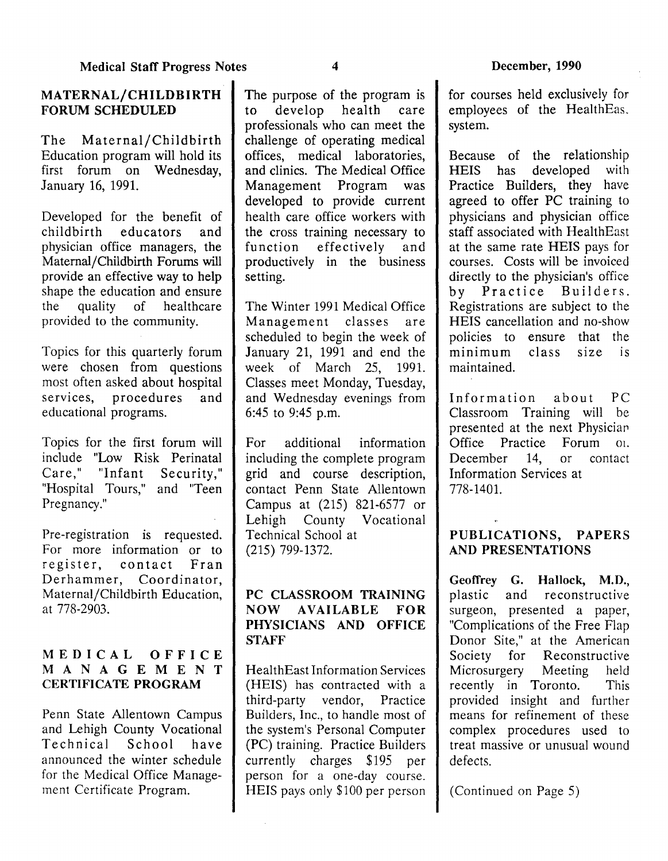# MATERNAL/CHILDBIRTH FORUM SCHEDULED

The Maternal/Childbirth Education program will hold its first forum on Wednesday, January 16, 1991.

Developed for the benefit of<br>childbirth educators and childbirth educators and physician office managers, the Maternal/Childbirth Forums will provide an effective way to help shape the education and ensure<br>the quality of healthcare the quality of healthcare provided to the community.

Topics for this quarterly forum were chosen from questions most often asked about hospital services, procedures and educational programs.

Topics for the first forum will include "Low Risk Perinatal Care," "Infant Security," "Hospital Tours," and "Teen Pregnancy."

Pre-registration is requested. For more information or to register, contact Fran Derhammer, Coordinator, Maternal/Childbirth Education, at 778-2903.

# MEDICAL OFFICE MANAGEMENT CERTIFICATE PROGRAM

Penn State Allentown Campus and Lehigh County Vocational Technical School have announced the winter schedule for the Medical Office Management Certificate Program.

The purpose of the program is to develop health care professionals who can meet the challenge of operating medical offices, medical laboratories, and clinics. The Medical Office Management Program was developed to provide current health care office workers with the cross training necessary to<br>function effectively and  $effectively$  and productively in the business setting.

The Winter 1991 Medical Office Management classes are scheduled to begin the week of January 21, 1991 and end the week of March 25, 1991. Classes meet Monday, Tuesday, and Wednesday evenings from 6:45 to 9:45 p.m.

For additional information including the complete program grid and course description, contact Penn State Allentown Campus at (215) 821-6577 or Lehigh County Vocational Technical School at  $(215)$  799-1372.

# PC CLASSROOM TRAINING NOW AVAILABLE FOR PHYSICIANS AND OFFICE STAFF

HealthEast Information Services (HEIS) has contracted with a third-party vendor, Practice Builders, Inc., to handle most of the system's Personal Computer (PC) training. Practice Builders currently charges \$195 per person for a one-day course. HEIS pays only \$100 per person

for courses held exclusively for employees of the HealthEas. system.

Because of the relationship<br>HEIS has developed with developed with Practice Builders, they have agreed to offer PC training to physicians and physician office staff associated with HealthEast at the same rate HEIS pays for courses. Costs will be invoiced directly to the physician's office by Practice Builders. Registrations are subject to the HEIS cancellation and no-show policies to ensure that the<br>minimum class size is minimum class maintained.

Information about PC Classroom Training will be presented at the next Physician Office Practice Forum 01. December 14, or contact Information Services at 778-1401.

# PUBLICATIONS, PAPERS AND PRESENTATIONS

Geoffrey G. Hallock, M.D., plastic and reconstructive surgeon, presented a paper, "Complications of the Free Flap Donor Site," at the American Society for Reconstructive Microsurgery Meeting held recently in Toronto. This provided insight and further means for refinement of these complex procedures used to treat massive or unusual wound defects.

(Continued on Page 5)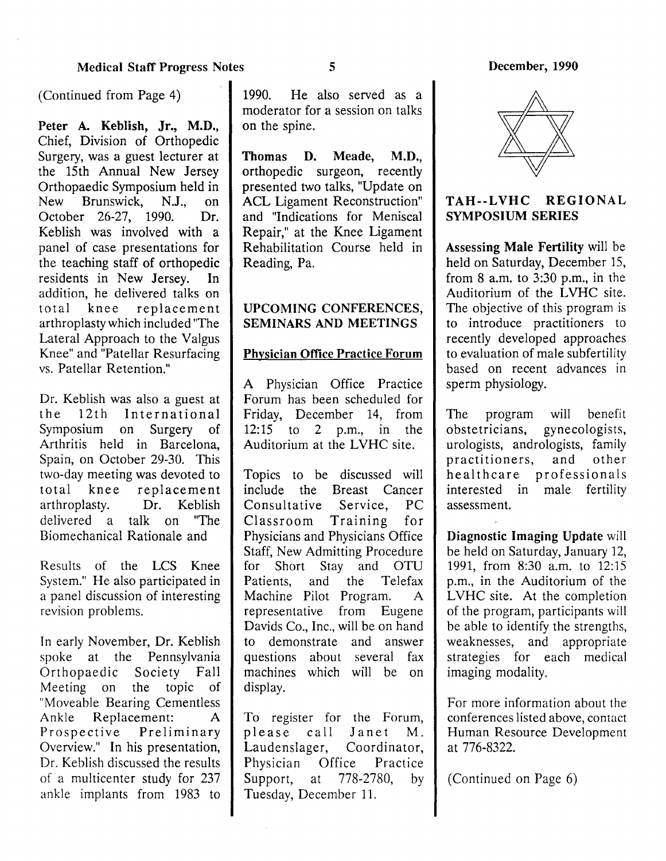(Continued from Page 4)

Peter A. Keblish, Jr., M.D., Chief, Division of Orthopedic Surgery, was a guest lecturer at the 15th Annual New Jersey Orthopaedic Symposium held in<br>New Brunswick N.L. on Brunswick, N.J., on<br>r 26-27 1990 Dr October 26-27, 1990. Keblish was involved with a panel of case presentations for the teaching staff of orthopedic<br>residents in New Jersey. In residents in New Jersey. addition, he delivered talks on total knee replacement arthroplasty which included "The Lateral Approach to the Valgus Knee" and "Patellar Resurfacing vs. Patellar Retention."

Dr. Keblish was also a guest at the 12th International Symposium on Surgery of Arthritis held in Barcelona, Spain, on October 29-30. This two-day meeting was devoted to total knee replacement<br>arthroplasty. Dr. Keblish Dr. Keblish delivered a talk on "The Biomechanical Rationale and

Results of the LCS Knee System." He also participated in a panel discussion of interesting revision problems.

In early November, Dr. Keblish spoke at the Pennsylvania Orthopaedic Society Fall Meeting on the topic of "Moveable Bearing Cementless Ankle Replacement: A Prospective Preliminary Overview." In his presentation, Dr. Keblish discussed the results of a multicenter study for 237 ankle implants from 1983 to

1990. He also served as a moderator for a session on talks on the spine.

Thomas D. Meade, M.D., orthopedic surgeon, recently presented two talks, "Update on ACL Ligament Reconstruction" and "Indications for Meniscal Repair," at the Knee Ligament Rehabilitation Course held in Reading, Pa.

# UPCOMING CONFERENCES, SEMINARS AND MEETINGS

### Physician Office Practice Forum

A Physician Office Practice Forum has been scheduled for Friday, December 14, from 12:15 to 2 p.m., in the Auditorium at the LVHC site.

Topics to be discussed will include the Breast Cancer Consultative Service, PC Classroom Training for Physicians and Physicians Office Staff, New Admitting Procedure for Short Stay and OTU Patients, and the Telefax Machine Pilot Program. A representative from Eugene Davids Co., Inc., will be on hand to demonstrate and answer questions about several fax machines which will be on display.

To register for the Forum, please call Janet M. Laudenslager, Coordinator, Physician Office Practice<br>Support, at 778-2780, by at  $778-2780$ , by Tuesday, December 11.



# TAH--LVHC REGIONAL SYMPOSIUM SERIES

Assessing Male Fertility will be held on Saturday, December 15, from  $8$  a.m. to  $3:30$  p.m., in the Auditorium of the LVHC site. The objective of this program is to introduce practitioners to recently developed approaches to evaluation of male subfertility based on recent advances in sperm physiology.

The program will benefit obstetricians, gynecologists, urologists, andrologists, family<br>practitioners, and other practitioners, healthcare professionals interested in male fertility assessment.

Diagnostic Imaging Update will be held on Saturday, January 12, 1991, from 8:30 a.m. to 12:15 p.m., in the Auditorium of the LVHC site. At the completion of the program, participants will be able to identify the strengths, weaknesses, and appropriate strategies for each medical imaging modality.

For more information about the conferences listed above, contact Human Resource Development at 776-8322.

(Continued on Page 6)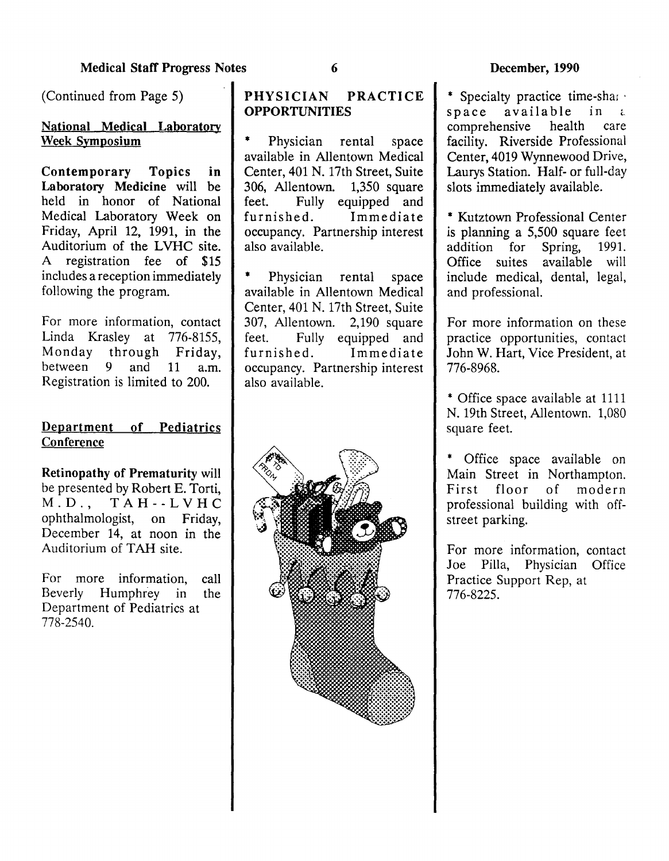(Continued from Page 5)

# National Medical Laboratory Week Symposium

Contemporary Topics in Laboratory Medicine will be held in honor of National Medical Laboratory Week on Friday, April 12, 1991, in the Auditorium of the LVHC site. A registration fee of \$15 includes a reception immediately following the program.

For more information, contact Linda Krasley at 776-8155, Monday through Friday, between 9 and 11 a.m. Registration is limited to 200.

# Department of Pediatrics **Conference**

Retinopathy of Prematurity will be presented by Robert E. Torti, M.D., TAH--LVHC ophthalmologist, on Friday, December 14, at noon in the Auditorium of TAH site.

For more information, call Beverly Humphrey in the Department of Pediatrics at 778-2540.

# PHYSICIAN PRACTICE OPPORTUNITIES

Physician rental space available in Allentown Medical Center, 401 N. 17th Street, Suite 306, Allentown. 1,350 square feet. Fully equipped and furnished. Immediate occupancy. Partnership interest also available.

Physician rental space available in Allentown Medical Center, 401 N. 17th Street, Suite 307, Allentown. 2,190 square feet. Fully equipped and furnished. Immediate occupancy. Partnership interest also available.



\* Specialty practice time-share<br>space available in a  $space$  available<br>comprehensive health comprehensive health care facility. Riverside Professional Center, 4019 Wynnewood Drive, Laurys Station. Half- or full-day slots immediately available.

\* Kutztown Professional Center is planning a 5,500 square feet<br>addition for Spring, 1991. addition for Spring, Office suites available will include medical, dental, legal, and professional.

For more information on these practice opportunities, contact John W. Hart, Vice President, at 776-8968.

\* Office space available at 1111 N. 19th Street, Allentown. 1,080 square feet.

\* Office space available on Main Street in Northampton. First floor of modern professional building with offstreet parking.

For more information, contact Joe Pilla, Physician Office Practice Support Rep, at 776-8225.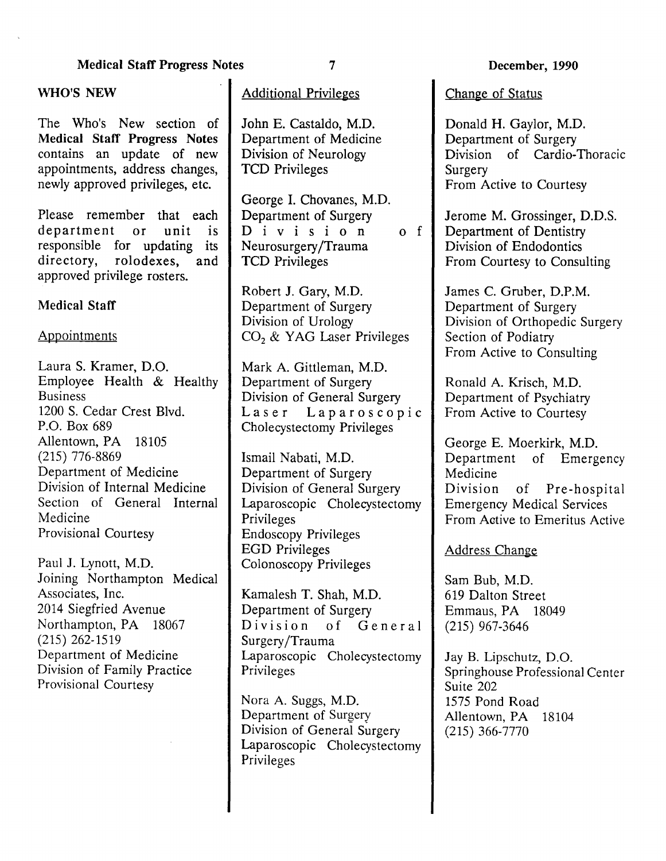WHO'S NEW The Who's New section of Medical Staff Progress Notes contains an update of new appointments, address changes, newly approved privileges, etc.

Please remember that each<br>department or unit is department or unit is responsible for updating its<br>directory, rolodexes, and rolodexes, and approved privilege rosters.

### Medical Staff

#### **Appointments**

Laura S. Kramer, D.O. Employee Health & Healthy Business 1200 S. Cedar Crest Blvd. P.O. Box 689 Allentown, PA 18105 (215) 776-8869 Department of Medicine Division of Internal Medicine Section of General Internal Medicine Provisional Courtesy

Paul J. Lynott, M.D. Joining Northampton Medical Associates, Inc. 2014 Siegfried Avenue Northampton, PA 18067 (215) 262-1519 Department of Medicine Division of Family Practice Provisional Courtesy

# Additional Privileges

John E. Castaldo, M.D. Department of Medicine Division of Neurology TCD Privileges

George I. Chovanes, M.D. Department of Surgery Division of Neurosurgery /Trauma TCD Privileges

Robert J. Gary, M.D. Department of Surgery Division of Urology  $CO<sub>2</sub>$  & YAG Laser Privileges

Mark A. Gittleman, M.D. Department of Surgery Division of General Surgery Laser Laparoscopic Cholecystectomy Privileges

Ismail Nabati, M.D. Department of Surgery Division of General Surgery Laparoscopic Cholecystectomy Privileges Endoscopy Privileges EGD Privileges Colonoscopy Privileges

Kamalesh T. Shah, M.D. Department of Surgery Division of General Surgery /Trauma Laparoscopic Cholecystectomy Privileges

Nora A. Suggs, M.D. Department of Surgery Division of General Surgery Laparoscopic Cholecystectomy Privileges

Change of Status

Donald H. Gaylor, M.D. Department of Surgery Division of Cardio-Thoracic Surgery From Active to Courtesy

Jerome M. Grossinger, D.D.S. Department of Dentistry Division of Endodontics From Courtesy to Consulting

James C. Gruber, D.P.M. Department of Surgery Division of Orthopedic Surgery Section of Podiatry From Active to Consulting

Ronald A. Krisch, M.D. Department of Psychiatry From Active to Courtesy

George E. Moerkirk, M.D.<br>Department of Emerg of Emergency Medicine Division of Pre-hospital Emergency Medical Services From Active to Emeritus Active

Address Change

Sam Bub, M.D. 619 Dalton Street Emmaus, PA 18049 (215) 967-3646

Jay B. Lipschutz, D.O. Springhouse Professional Center Suite 202 1575 Pond Road Allentown, PA 18104 (215) 366-7770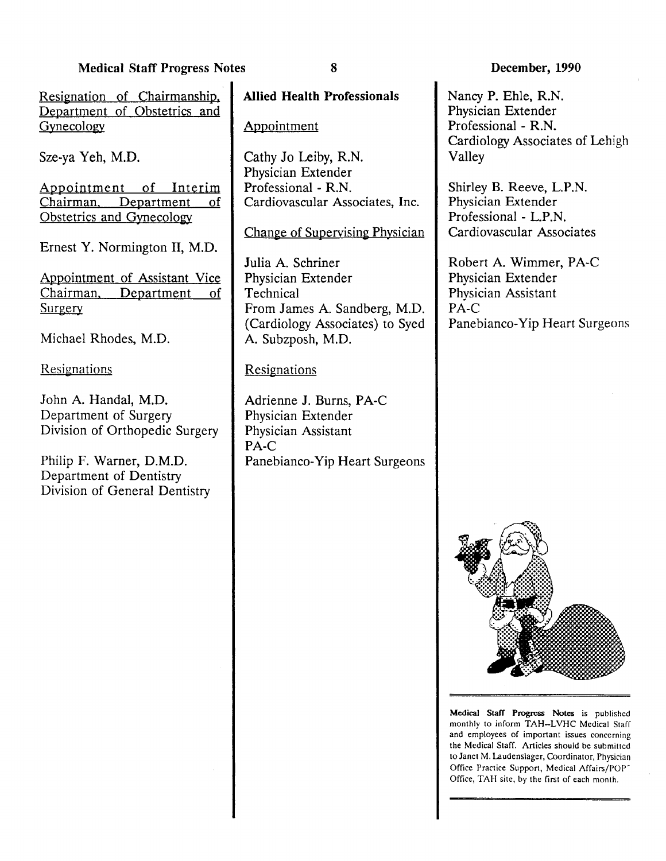Resignation of Chairmanship. Department of Obstetrics and Gynecology

Sze-ya Yeh, M.D.

Appointment of Interim Chairman. Department of Obstetrics and Gynecology

Ernest Y. Normington II, M.D.

Appointment of Assistant Vice Chairman. Department of **Surgery** 

Michael Rhodes, M.D.

Resignations

John A. Handal, M.D. Department of Surgery Division of Orthopedic Surgery

Philip F. Warner, D.M.D. Department of Dentistry Division of General Dentistry Allied Health Professionals

# Appointment

Cathy Jo Leiby, R.N. Physician Extender Professional - R.N. Cardiovascular Associates, Inc.

Change of Supervising Physician

Julia A. Schriner Physician Extender **Technical** From James A. Sandberg, M.D. (Cardiology Associates) to Syed A. Subzposh, M.D.

# **Resignations**

Adrienne J. Burns, PA-C Physician Extender Physician Assistant PA-C Panebianco-Yip Heart Surgeons

### December, 1990

Nancy P. Ehle, R.N. Physician Extender Professional - R.N. Cardiology Associates of Lehigh Valley

Shirley B. Reeve, L.P.N. Physician Extender Professional - L.P.N. Cardiovascular Associates

Robert A. Wimmer, PA-C Physician Extender Physician Assistant PA-C Panebianco-Yip Heart Surgeons



Medical Staff Progress Notes is published monthly to inform TAH-LVHC Medical Staff and employees of important issues concerning the Medical Staff. Articles should be submitlcd to Janet M. Laudenslager, Coordinator, Physician Office Practice Support, Medical Affairs/POP<sup>-</sup> Office, TAH site, by the first of each month.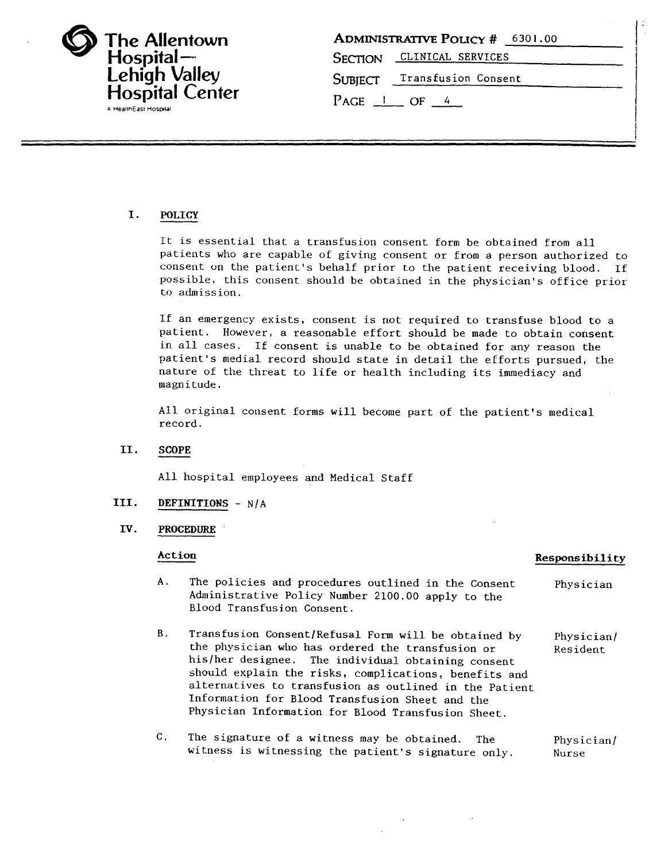| <b>The Allentown</b><br>Hospital-<br><b>Lehigh Valley</b><br><b>Hospital Center</b> |
|-------------------------------------------------------------------------------------|
| A HealthEast Hospital                                                               |

| <b>ADMINISTRATIVE POLICY # 6301.00</b> |
|----------------------------------------|
| SECTION CLINICAL SERVICES              |
| SUBJECT Transfusion Consent            |
| $PAGE \_1 \_ OF \_4$                   |

#### I. POLICY

It is essential that a transfusion consent form be obtained from all patients who are capable of giving consent or from a person authorized to consent on the patient's behalf prior to the patient receiving blood. If possible, this consent should be obtained in the physician's office prior to admission.

If an emergency exists, consent is not required to transfuse blood to a patient. However, a reasonable effort should be made to obtain consent in all cases. If consent is unable to be obtained for any reason the patient's medial record should state in detail the efforts pursued, the nature of the threat to life or health including its immediacy and magnitude.

All original consent forms will become part of the patient's medical record.

#### II. SCOPE

All hospital employees and Medical Staff

#### III. DEFINITIONS - N/A

#### IV. PROCEDURE

#### Action

#### Responsibility

- A. The policies and procedures outlined in the Consent Administrative Policy Number 2100.00 apply to the Blood Transfusion Consent. Physician
- B. Transfusion Consent/Refusal Form will be obtained by the physician who has ordered the transfusion or his/her designee. The individual obtaining consent should explain the risks, complications, benefits and alternatives to transfusion as outlined in the Patient Information for Blood Transfusion Sheet and the Physician Information for Blood Transfusion Sheet. Physician/ Resident
- c. The signature of a witness may be obtained. The witness is witnessing the patient's signature only. Physician/ Nurse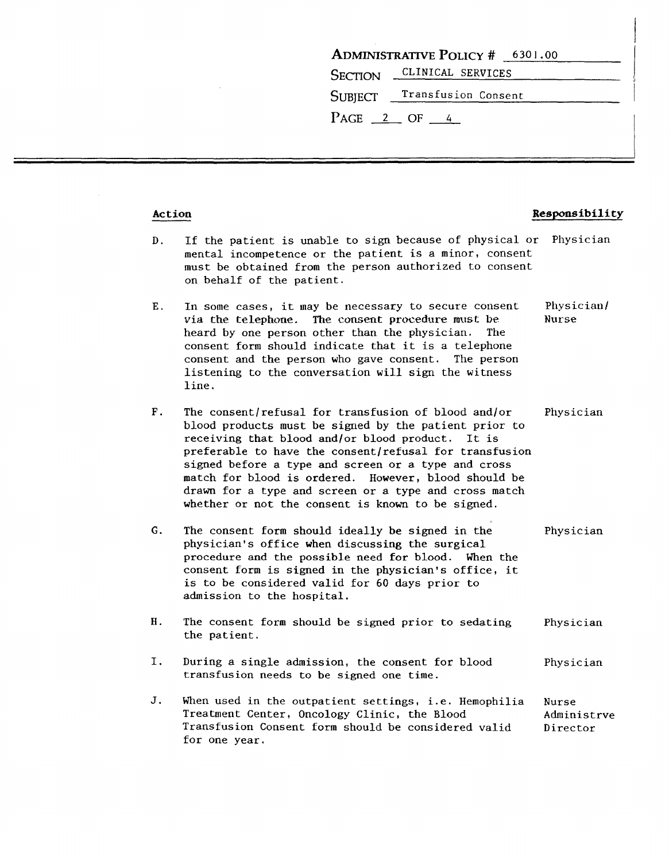| <b>ADMINISTRATIVE POLICY # 6301.00</b> |                             |  |  |  |
|----------------------------------------|-----------------------------|--|--|--|
|                                        | SECTION CLINICAL SERVICES   |  |  |  |
|                                        | SUBJECT Transfusion Consent |  |  |  |
| $PAGE \quad 2 \quad OF \quad 4$        |                             |  |  |  |

#### Action Responsibility

- D. If the patient is unable to sign because of physical or Physician mental incompetence or the patient is a minor, consent must be obtained from the person authorized to consent on behalf of the patient.
- E. In some cases, it may be necessary to secure consent Physician/ via the telephone. The consent procedure must be Nurse heard by one person other than the physician. The consent form should indicate that it is a telephone consent and the person who gave consent. The person listening to the conversation will sign the witness line.
- F. The consent/refusal for transfusion of blood and/or Physician blood products must be signed by the patient prior to receiving that blood and/or blood product. It is preferable to have the consent/refusal for transfusion signed before a type and screen or a type and cross match for blood is ordered. However, blood should be drawn for a type and screen or a type and cross match whether or not the consent is known to be signed.
- G. The consent form should ideally be signed in the Physician physician's office when discussing the surgical procedure and the possible need for blood. When the consent form is signed in the physician's office, it is to be considered valid for 60 days prior to admission to the hospital.
- H. The consent form should be signed prior to sedating Physician the patient.
- I. During a single admission, the consent for blood Physician transfusion needs to be signed one time.
- J. When used in the outpatient settings, i.e. Hemophilia Treatment Center, Oncology Clinic, the Blood Transfusion Consent form should be considered valid for one year. Nurse Administrve Director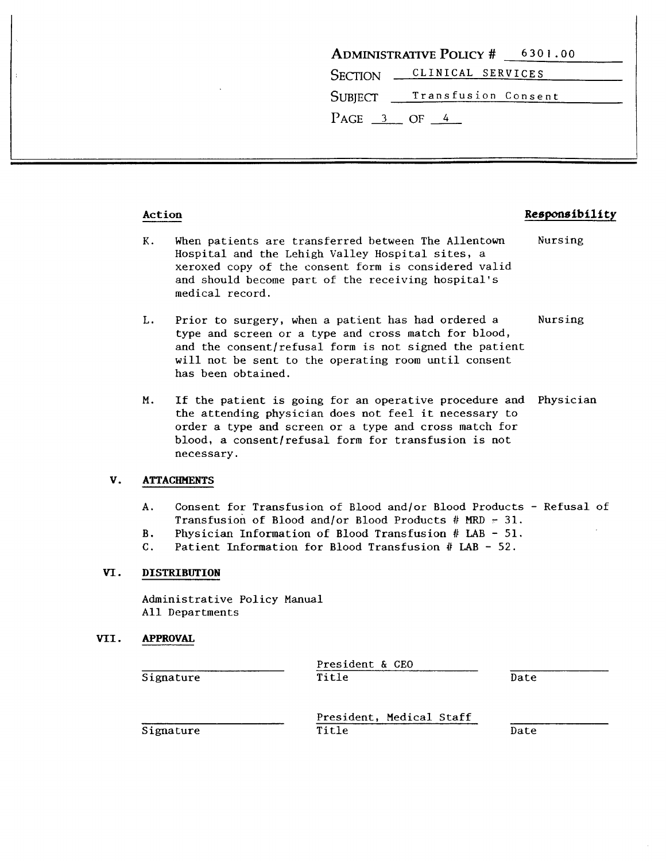|                        | <b>ADMINISTRATIVE POLICY # 6301.00</b> |
|------------------------|----------------------------------------|
|                        | SECTION CLINICAL SERVICES              |
|                        | SUBJECT Transfusion Consent            |
| $PAGE \, 3 \, OF \, 4$ |                                        |

#### Action Responsibility

- K. When patients are transferred between The Allentown Hospital and the Lehigh Valley Hospital sites, a xeroxed copy of the consent form is considered valid and should become part of the receiving hospital's medical record. Nursing
- L. Prior to surgery, when a patient has had ordered a Nursing type and screen or a type and cross match for blood, and the consent/refusal form is not signed the patient will not be sent to the operating room until consent has been obtained.
- M. If the patient is going for an operative procedure and Physician the attending physician does not feel it necessary to order a type and screen or a type and cross match for blood, a consent/refusal form for transfusion is not necessary.

#### V. ATTACHMENTS

- A. Consent for Transfusion of Blood and/or Blood Products Refusal of Transfusion of Blood and/or Blood Products # MRD  $=$  31.
- B. Physician Information of Blood Transfusion # LAB 51.
- C. Patient Information for Blood Transfusion  $#$  LAB 52.

#### VI. DISTRIBUTION

Administrative Policy Manual All Departments

#### VII. APPROVAL

**Signature** 

President & CEO Title

Date

|  | i gnafuro |  |
|--|-----------|--|
|  |           |  |

President, Medical Staff Title

Date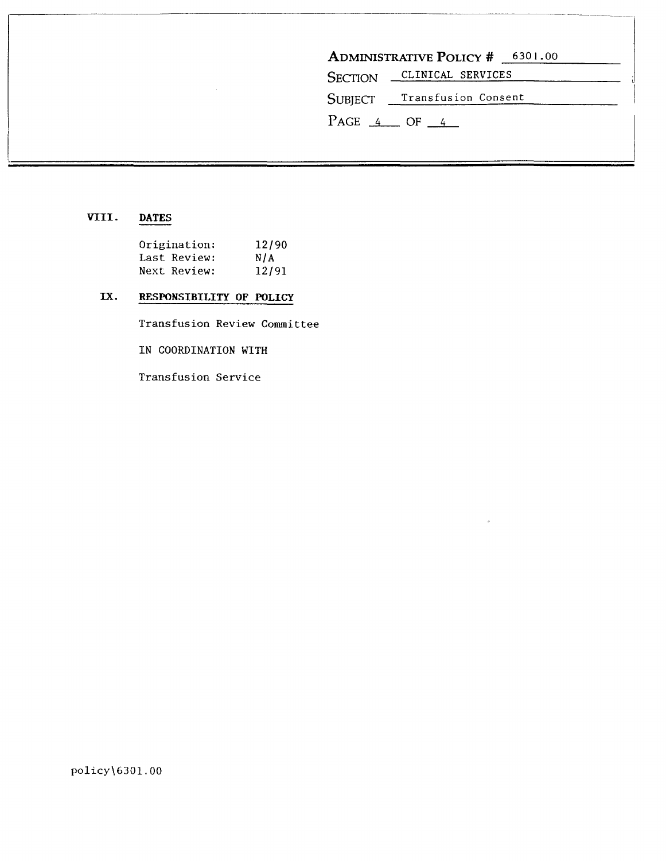| SECTION CLINICAL SERVICES      |
|--------------------------------|
| SUBJECT __ Transfusion Consent |

 $\bar{\rho}$ 

# VIII. DATES

| Origination: |              | 12/90 |
|--------------|--------------|-------|
|              | Last Review: | N/A   |
|              | Next Review: | 12/91 |

 $\sim$ 

# IX. RESPONSIBILITY OF POLICY

Transfusion Review Committee

IN COORDINATION WITH

Transfusion Service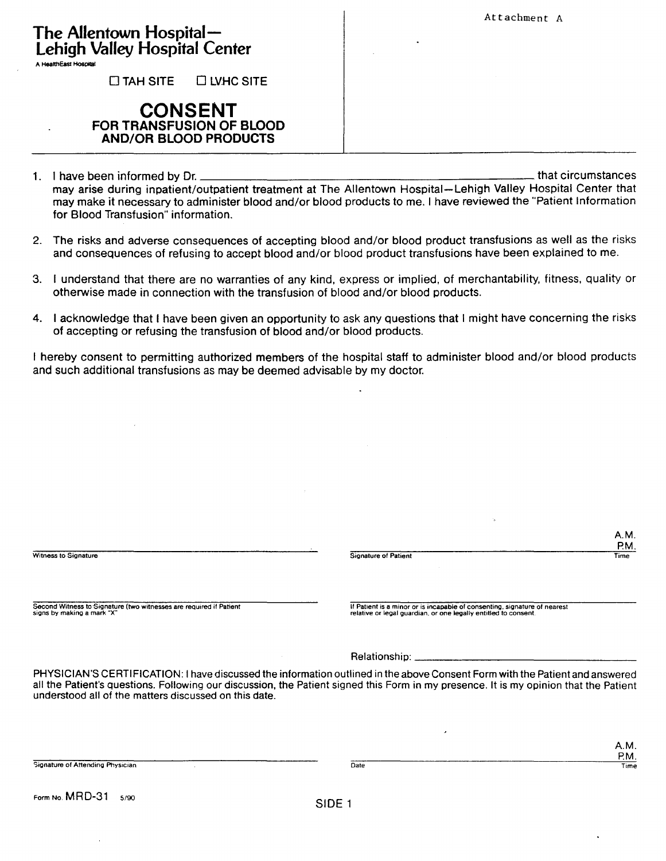Attachment A

| The Allentown Hospital $-$           |  |  |
|--------------------------------------|--|--|
| <b>Lehigh Valley Hospital Center</b> |  |  |

A HealthEast Hospital

 $\Box$  TAH SITE  $\Box$  LVHC SITE

# **CONSENT FOR TRANSFUSION OF BLOOD AND/OR BLOOD PRODUCTS**

- 1. I have been informed by Dr. may arise during inpatient/outpatient treatment at The Allentown Hospital-Lehigh Valley Hospital Center that may make it necessary to administer blood and/or blood products to me. I have reviewed the ""Patient Information for Blood Transfusion" information.
- 2. The risks and adverse consequences of accepting blood and/or blood product transfusions as well as the risks and consequences of refusing to accept blood and/or blood product transfusions have been explained to me.
- 3. I understand that there are no warranties of any kind, express or implied, of merchantability, fitness, quality or otherwise made in connection with the transfusion of blood and/or blood products.
- 4. I acknowledge that I have been given an opportunity to ask any questions that I might have concerning the risks of accepting or refusing the transfusion of blood and/or blood products.

I hereby consent to permitting authorized members of the hospital staff to administer blood and/or blood products and such additional transfusions as may be deemed advisable by my doctor.

|                                                                    | A.M.                                                                                                                                                                                                                                                                  |
|--------------------------------------------------------------------|-----------------------------------------------------------------------------------------------------------------------------------------------------------------------------------------------------------------------------------------------------------------------|
|                                                                    | P.M.                                                                                                                                                                                                                                                                  |
| <b>Witness to Signature</b>                                        | <b>Signature of Patient</b><br>Time                                                                                                                                                                                                                                   |
| Second Witness to Signature (two witnesses are required if Patient | If Patient is a minor or is incapable of consenting, signature of nearest                                                                                                                                                                                             |
| signs by making a mark "X"                                         | relative or legal quardian, or one legally entitled to consent.                                                                                                                                                                                                       |
|                                                                    |                                                                                                                                                                                                                                                                       |
| understood all of the matters discussed on this date.              | PHYSICIAN'S CERTIFICATION: I have discussed the information outlined in the above Consent Form with the Patient and answered<br>all the Patient's questions. Following our discussion, the Patient signed this Form in my presence. It is my opinion that the Patient |
|                                                                    |                                                                                                                                                                                                                                                                       |
|                                                                    | A.M.<br>P.M.                                                                                                                                                                                                                                                          |
| Signature of Attending Physician                                   | Date<br>Time                                                                                                                                                                                                                                                          |
| Form No. MRD-31<br>5/90                                            |                                                                                                                                                                                                                                                                       |
|                                                                    | SIDE <sub>1</sub>                                                                                                                                                                                                                                                     |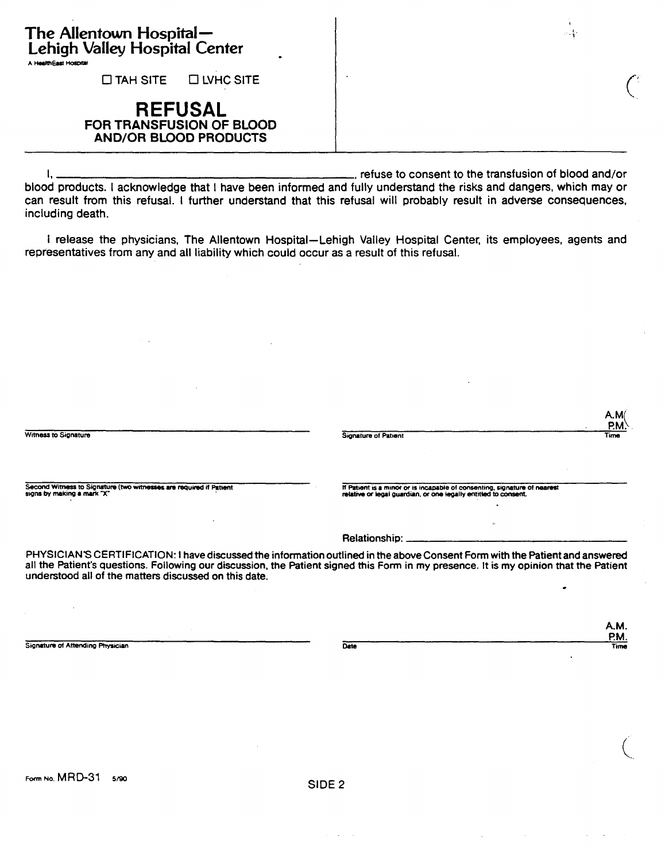| The Allentown Hospital—<br>Lehigh Valley Hospital Center<br>A HealthEast Hospital | 计可分量的 |
|-----------------------------------------------------------------------------------|-------|
| $\Box$ TAH SITE<br>$\Box$ LVHC SITE                                               |       |
| <b>REFUSAL</b><br>FOR TRANSFUSION OF BLOOD<br><b>AND/OR BLOOD PRODUCTS</b>        |       |

I,  $\frac{1}{2}$  refuse to consent to the transfusion of blood and/or blood products. I acknowledge that I have been informed and fully understand the risks and dangers, which may or can result from this refusal. I further understand that this refusal will probably result in adverse consequences, including death.

I release the physicians, The Allentown Hospital-Lehigh Valley Hospital Center, its employees, agents and representatives from any and all liability which could occur as a result of this refusal.

|                                                                                                  |                                                                                                                                                                                                                                                                       | A.M<br>P.M. |
|--------------------------------------------------------------------------------------------------|-----------------------------------------------------------------------------------------------------------------------------------------------------------------------------------------------------------------------------------------------------------------------|-------------|
| Witness to Signature                                                                             | <b>Signature of Patient</b>                                                                                                                                                                                                                                           | <b>Time</b> |
| Second Witness to Signature (two witnesses are required if Patient<br>sions by making a mark "X" | If Patient is a minor or is incapable of consenting, signature of nearest<br>relative or legal guardian, or one legally entitled to consent.                                                                                                                          |             |
|                                                                                                  | Relationship: _____________                                                                                                                                                                                                                                           |             |
| understood all of the matters discussed on this date.                                            | PHYSICIAN'S CERTIFICATION: I have discussed the information outlined in the above Consent Form with the Patient and answered<br>all the Patient's questions. Following our discussion, the Patient signed this Form in my presence. It is my opinion that the Patient |             |

Signature of Attending Physician Date

A.M. P.M. Time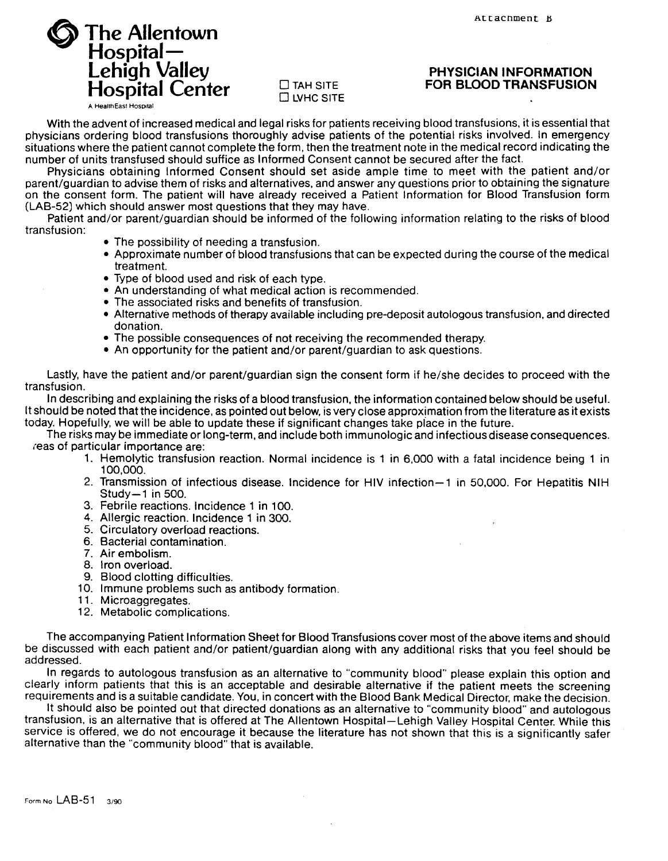# @ **The Allentown Hospital-Lehigh Valley Hospital Center A Health East Hospital**



#### **PHYSICIAN INFORMATION FOR BLOOD TRANSFUSION**

With the advent of increased medical and legal risks for patients receiving blood transfusions. it is essential that physicians ordering blood transfusions thoroughly advise patients of the potential risks involved. In emergency situations where the patient cannot complete the form. then the treatment note in the medical record indicating the number of units transfused should suffice as Informed Consent cannot be secured after the fact.

Physicians obtaining Informed Consent should set aside ample time to meet with the patient and/or parent/guardian to advise them of risks and alternatives, and answer any questions prior to obtaining the signature on the consent form. The patient will have already received a Patient Information for Blood Transfusion form (LAB-52) which should answer most questions that they may have.

Patient and/or parent/guardian should be informed of the following information relating to the risks of blood transfusion:

- The possibility of needing a transfusion.
- Approximate number of blood transfusions that can be expected during the course of the medical treatment.
- Type of blood used and risk of each type.
- An understanding of what medical action is recommended.
- The associated risks and benefits of transfusion.
- Alternative methods of therapy available including pre-deposit autologous transfusion. and directed donation.
- The possible consequences of not receiving the recommended therapy.
- An opportunity for the patient and/or parent/guardian to ask questions.

Lastly, have the patient and/or parent/guardian sign the consent form if he/she decides to proceed with the transfusion.

In describing and explaining the risks of a blood transfusion, the information contained below should be useful. It should be noted that the incidence. as pointed out below. is very close approximation from the literature as it exists today. Hopefully, we will be able to update these if significant changes take place in the future.

The risks may be immediate or long-term. and include both immunologic and infectious disease consequences. reas of particular importance are:

- 1. Hemolytic transfusion reaction. Normal incidence is 1 in 6,000 with a fatal incidence being 1 in 100,000.
- 2. Transmission of infectious disease. Incidence for HIV infection-1 in 50,000. For Hepatitis NIH Study-1 in 500.
- 3. Febrile reactions. Incidence 1 in 100.
- 4. Allergic reaction. Incidence 1 in 300.
- 5. Circulatory overload reactions.
- 6. Bacterial contamination.
- 7. Air embolism.
- 8. Iron overload.
- 9. Blood clotting difficulties.
- 10. Immune problems such as antibody formation.
- 11. Microaggregates.
- 12. Metabolic complications.

The accompanying Patient Information Sheet for Blood Transfusions cover most of the above items and should be discussed with each patient and/or patient/guardian along with any additional risks that you feel should be addressed.

In regards to autologous transfusion as an alternative to "community blood" please explain this option and clearly inform patients that this is an acceptable and desirable alternative if the patient meets the screening requirements and is a suitable candidate. You. in concert with the Blood Bank Medical Director. make the decision.

It should also be pointed out that directed donations as an alternative to "community blood" and autologous transfusion, is an alternative that is offered at The Allentown Hospital-Lehigh Valley Hospital Center. While this service is offered, we do not encourage it because the literature has not shown that this is a significantly safer alternative than the "community blood" that is available.